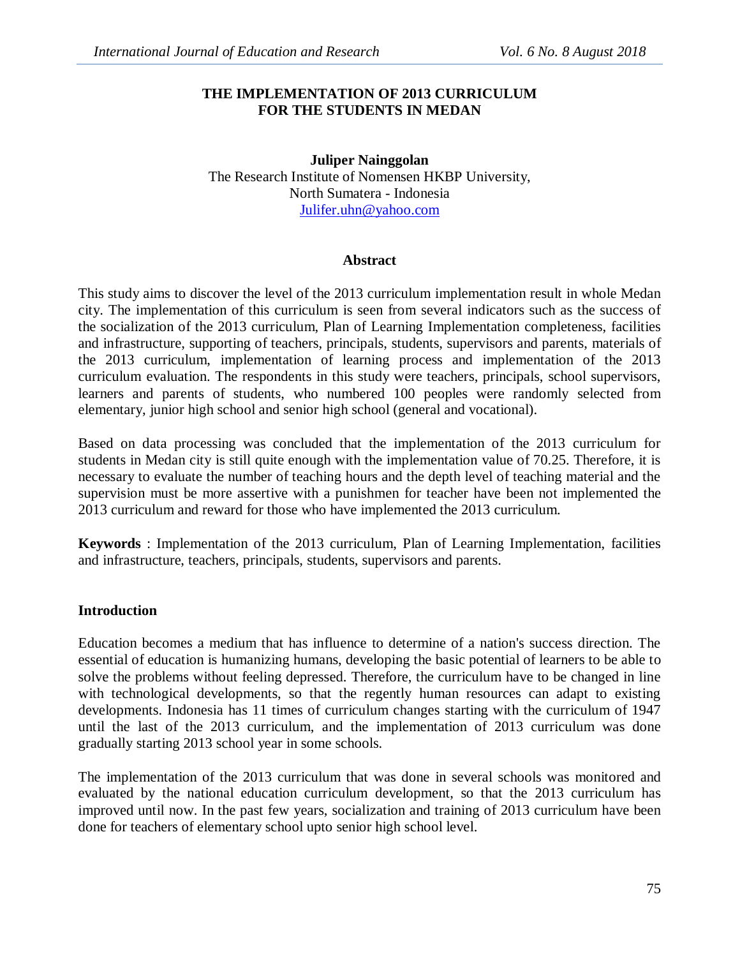## **THE IMPLEMENTATION OF 2013 CURRICULUM FOR THE STUDENTS IN MEDAN**

### **Juliper Nainggolan** The Research Institute of Nomensen HKBP University, North Sumatera - Indonesia Julifer.uhn@yahoo.com

### **Abstract**

This study aims to discover the level of the 2013 curriculum implementation result in whole Medan city. The implementation of this curriculum is seen from several indicators such as the success of the socialization of the 2013 curriculum, Plan of Learning Implementation completeness, facilities and infrastructure, supporting of teachers, principals, students, supervisors and parents, materials of the 2013 curriculum, implementation of learning process and implementation of the 2013 curriculum evaluation. The respondents in this study were teachers, principals, school supervisors, learners and parents of students, who numbered 100 peoples were randomly selected from elementary, junior high school and senior high school (general and vocational).

Based on data processing was concluded that the implementation of the 2013 curriculum for students in Medan city is still quite enough with the implementation value of 70.25. Therefore, it is necessary to evaluate the number of teaching hours and the depth level of teaching material and the supervision must be more assertive with a punishmen for teacher have been not implemented the 2013 curriculum and reward for those who have implemented the 2013 curriculum.

**Keywords** : Implementation of the 2013 curriculum, Plan of Learning Implementation, facilities and infrastructure, teachers, principals, students, supervisors and parents.

## **Introduction**

Education becomes a medium that has influence to determine of a nation's success direction. The essential of education is humanizing humans, developing the basic potential of learners to be able to solve the problems without feeling depressed. Therefore, the curriculum have to be changed in line with technological developments, so that the regently human resources can adapt to existing developments. Indonesia has 11 times of curriculum changes starting with the curriculum of 1947 until the last of the 2013 curriculum, and the implementation of 2013 curriculum was done gradually starting 2013 school year in some schools.

The implementation of the 2013 curriculum that was done in several schools was monitored and evaluated by the national education curriculum development, so that the 2013 curriculum has improved until now. In the past few years, socialization and training of 2013 curriculum have been done for teachers of elementary school upto senior high school level.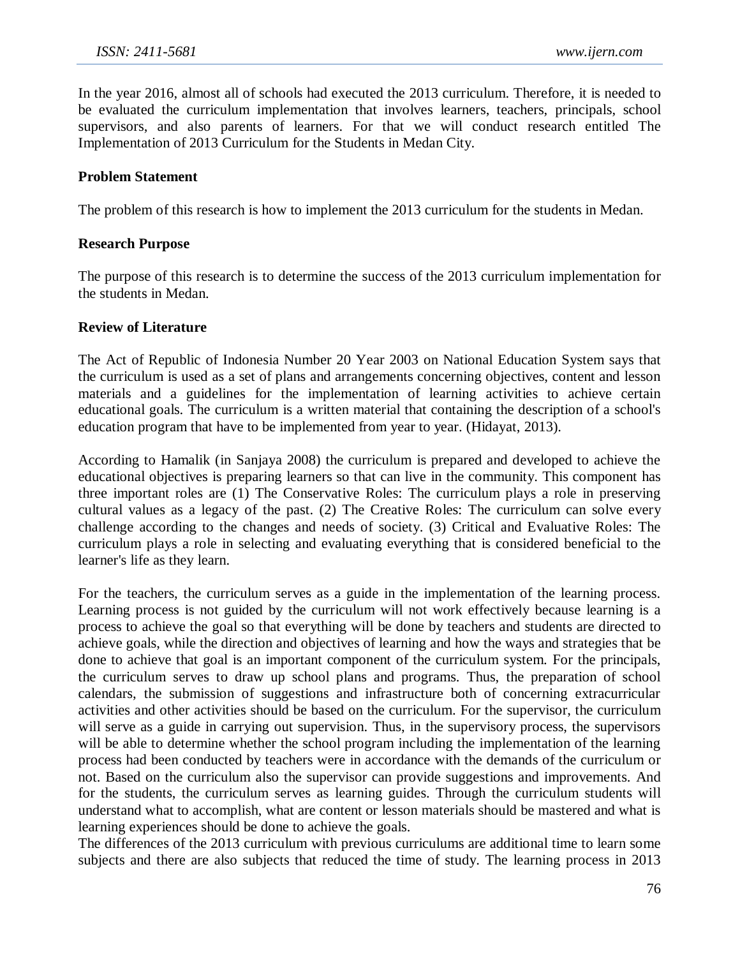In the year 2016, almost all of schools had executed the 2013 curriculum. Therefore, it is needed to be evaluated the curriculum implementation that involves learners, teachers, principals, school supervisors, and also parents of learners. For that we will conduct research entitled The Implementation of 2013 Curriculum for the Students in Medan City.

#### **Problem Statement**

The problem of this research is how to implement the 2013 curriculum for the students in Medan.

#### **Research Purpose**

The purpose of this research is to determine the success of the 2013 curriculum implementation for the students in Medan.

#### **Review of Literature**

The Act of Republic of Indonesia Number 20 Year 2003 on National Education System says that the curriculum is used as a set of plans and arrangements concerning objectives, content and lesson materials and a guidelines for the implementation of learning activities to achieve certain educational goals. The curriculum is a written material that containing the description of a school's education program that have to be implemented from year to year. (Hidayat, 2013).

According to Hamalik (in Sanjaya 2008) the curriculum is prepared and developed to achieve the educational objectives is preparing learners so that can live in the community. This component has three important roles are (1) The Conservative Roles: The curriculum plays a role in preserving cultural values as a legacy of the past. (2) The Creative Roles: The curriculum can solve every challenge according to the changes and needs of society. (3) Critical and Evaluative Roles: The curriculum plays a role in selecting and evaluating everything that is considered beneficial to the learner's life as they learn.

For the teachers, the curriculum serves as a guide in the implementation of the learning process. Learning process is not guided by the curriculum will not work effectively because learning is a process to achieve the goal so that everything will be done by teachers and students are directed to achieve goals, while the direction and objectives of learning and how the ways and strategies that be done to achieve that goal is an important component of the curriculum system. For the principals, the curriculum serves to draw up school plans and programs. Thus, the preparation of school calendars, the submission of suggestions and infrastructure both of concerning extracurricular activities and other activities should be based on the curriculum. For the supervisor, the curriculum will serve as a guide in carrying out supervision. Thus, in the supervisory process, the supervisors will be able to determine whether the school program including the implementation of the learning process had been conducted by teachers were in accordance with the demands of the curriculum or not. Based on the curriculum also the supervisor can provide suggestions and improvements. And for the students, the curriculum serves as learning guides. Through the curriculum students will understand what to accomplish, what are content or lesson materials should be mastered and what is learning experiences should be done to achieve the goals.

The differences of the 2013 curriculum with previous curriculums are additional time to learn some subjects and there are also subjects that reduced the time of study. The learning process in 2013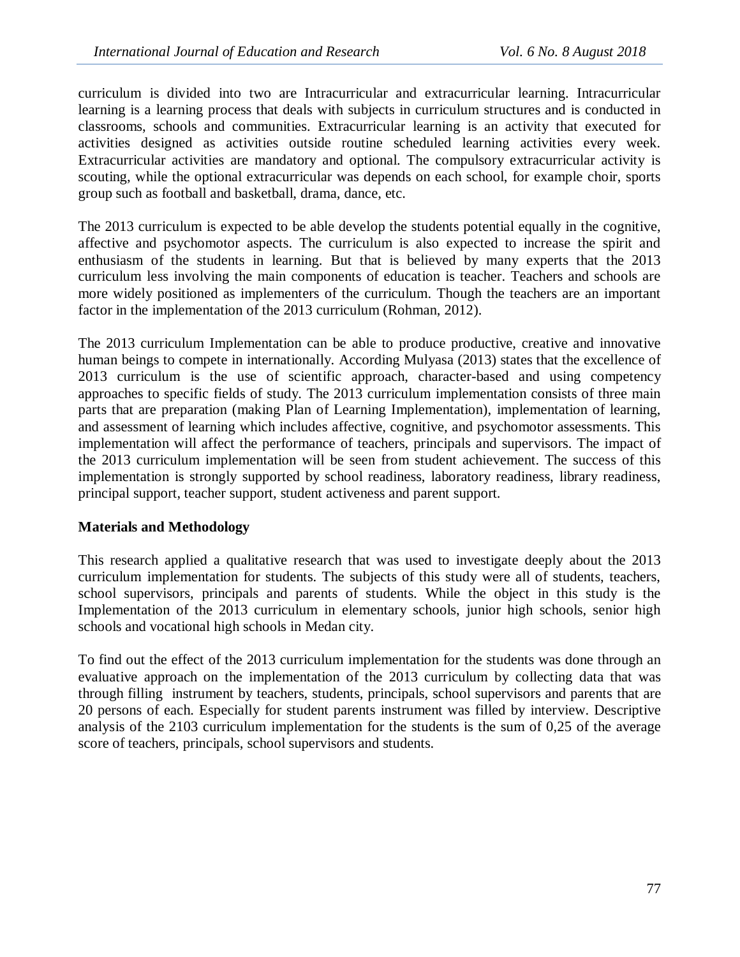curriculum is divided into two are Intracurricular and extracurricular learning. Intracurricular learning is a learning process that deals with subjects in curriculum structures and is conducted in classrooms, schools and communities. Extracurricular learning is an activity that executed for activities designed as activities outside routine scheduled learning activities every week. Extracurricular activities are mandatory and optional. The compulsory extracurricular activity is scouting, while the optional extracurricular was depends on each school, for example choir, sports group such as football and basketball, drama, dance, etc.

The 2013 curriculum is expected to be able develop the students potential equally in the cognitive, affective and psychomotor aspects. The curriculum is also expected to increase the spirit and enthusiasm of the students in learning. But that is believed by many experts that the 2013 curriculum less involving the main components of education is teacher. Teachers and schools are more widely positioned as implementers of the curriculum. Though the teachers are an important factor in the implementation of the 2013 curriculum (Rohman, 2012).

The 2013 curriculum Implementation can be able to produce productive, creative and innovative human beings to compete in internationally. According Mulyasa (2013) states that the excellence of 2013 curriculum is the use of scientific approach, character-based and using competency approaches to specific fields of study. The 2013 curriculum implementation consists of three main parts that are preparation (making Plan of Learning Implementation), implementation of learning, and assessment of learning which includes affective, cognitive, and psychomotor assessments. This implementation will affect the performance of teachers, principals and supervisors. The impact of the 2013 curriculum implementation will be seen from student achievement. The success of this implementation is strongly supported by school readiness, laboratory readiness, library readiness, principal support, teacher support, student activeness and parent support.

## **Materials and Methodology**

This research applied a qualitative research that was used to investigate deeply about the 2013 curriculum implementation for students. The subjects of this study were all of students, teachers, school supervisors, principals and parents of students. While the object in this study is the Implementation of the 2013 curriculum in elementary schools, junior high schools, senior high schools and vocational high schools in Medan city.

To find out the effect of the 2013 curriculum implementation for the students was done through an evaluative approach on the implementation of the 2013 curriculum by collecting data that was through filling instrument by teachers, students, principals, school supervisors and parents that are 20 persons of each. Especially for student parents instrument was filled by interview. Descriptive analysis of the 2103 curriculum implementation for the students is the sum of 0,25 of the average score of teachers, principals, school supervisors and students.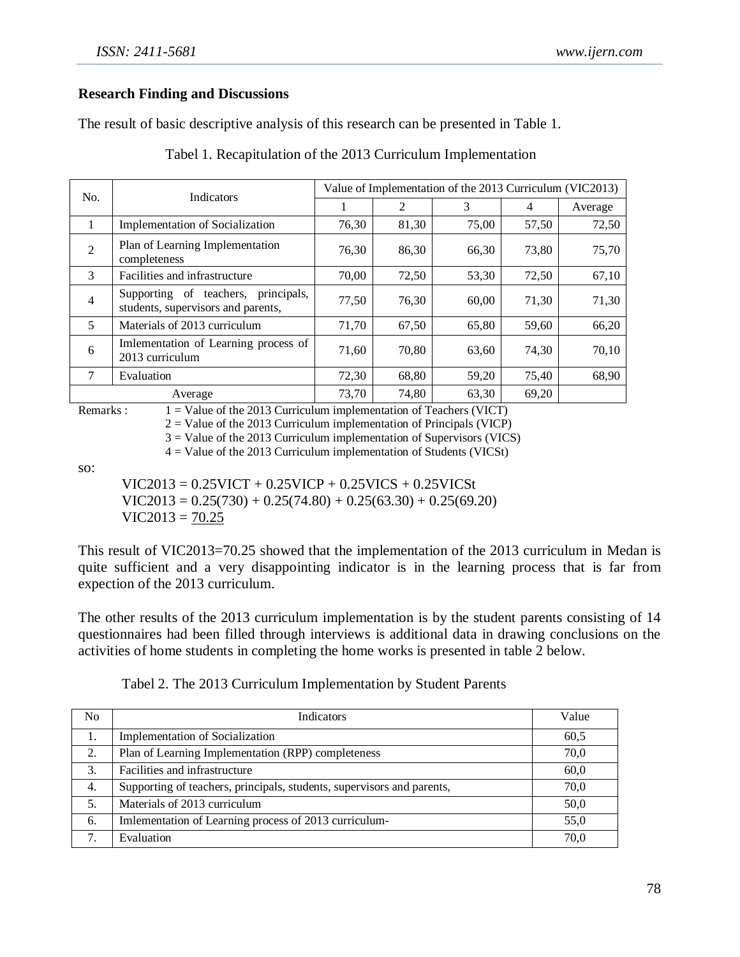#### **Research Finding and Discussions**

The result of basic descriptive analysis of this research can be presented in Table 1.

| No.            | Indicators                                                                   | Value of Implementation of the 2013 Curriculum (VIC2013) |                |       |       |         |
|----------------|------------------------------------------------------------------------------|----------------------------------------------------------|----------------|-------|-------|---------|
|                |                                                                              |                                                          | $\mathfrak{D}$ | 3     | 4     | Average |
| 1              | <b>Implementation of Socialization</b>                                       | 76,30                                                    | 81,30          | 75,00 | 57,50 | 72,50   |
| $\overline{2}$ | Plan of Learning Implementation<br>completeness                              | 76,30                                                    | 86,30          | 66,30 | 73,80 | 75,70   |
| 3              | Facilities and infrastructure                                                | 70,00                                                    | 72,50          | 53,30 | 72,50 | 67,10   |
| $\overline{4}$ | Supporting of teachers,<br>principals,<br>students, supervisors and parents, | 77,50                                                    | 76,30          | 60,00 | 71,30 | 71,30   |
| 5              | Materials of 2013 curriculum                                                 | 71,70                                                    | 67,50          | 65,80 | 59,60 | 66,20   |
| 6              | Imlementation of Learning process of<br>2013 curriculum                      | 71,60                                                    | 70,80          | 63,60 | 74,30 | 70,10   |
| 7              | Evaluation                                                                   | 72,30                                                    | 68,80          | 59,20 | 75,40 | 68,90   |
| Average        |                                                                              | 73,70                                                    | 74,80          | 63,30 | 69,20 |         |

Tabel 1. Recapitulation of the 2013 Curriculum Implementation

Remarks : 1 = Value of the 2013 Curriculum implementation of Teachers (VICT)

 $2 =$  Value of the 2013 Curriculum implementation of Principals (VICP)

3 = Value of the 2013 Curriculum implementation of Supervisors (VICS)

4 = Value of the 2013 Curriculum implementation of Students (VICSt)

so:

 $VIC2013 = 0.25VICT + 0.25VICP + 0.25VICS + 0.25VICSt$  $VIC2013 = 0.25(730) + 0.25(74.80) + 0.25(63.30) + 0.25(69.20)$  $VIC2013 = 70.25$ 

This result of VIC2013=70.25 showed that the implementation of the 2013 curriculum in Medan is quite sufficient and a very disappointing indicator is in the learning process that is far from expection of the 2013 curriculum.

The other results of the 2013 curriculum implementation is by the student parents consisting of 14 questionnaires had been filled through interviews is additional data in drawing conclusions on the activities of home students in completing the home works is presented in table 2 below.

| N <sub>0</sub> | <b>Indicators</b>                                                      | Value |
|----------------|------------------------------------------------------------------------|-------|
|                | Implementation of Socialization                                        | 60.5  |
| 2.             | Plan of Learning Implementation (RPP) completeness                     | 70,0  |
| 3.             | Facilities and infrastructure                                          | 60.0  |
| 4.             | Supporting of teachers, principals, students, supervisors and parents, | 70.0  |
| 5.             | Materials of 2013 curriculum                                           | 50,0  |
| 6.             | Imlementation of Learning process of 2013 curriculum-                  | 55,0  |
| 7              | Evaluation                                                             | 70,0  |

Tabel 2. The 2013 Curriculum Implementation by Student Parents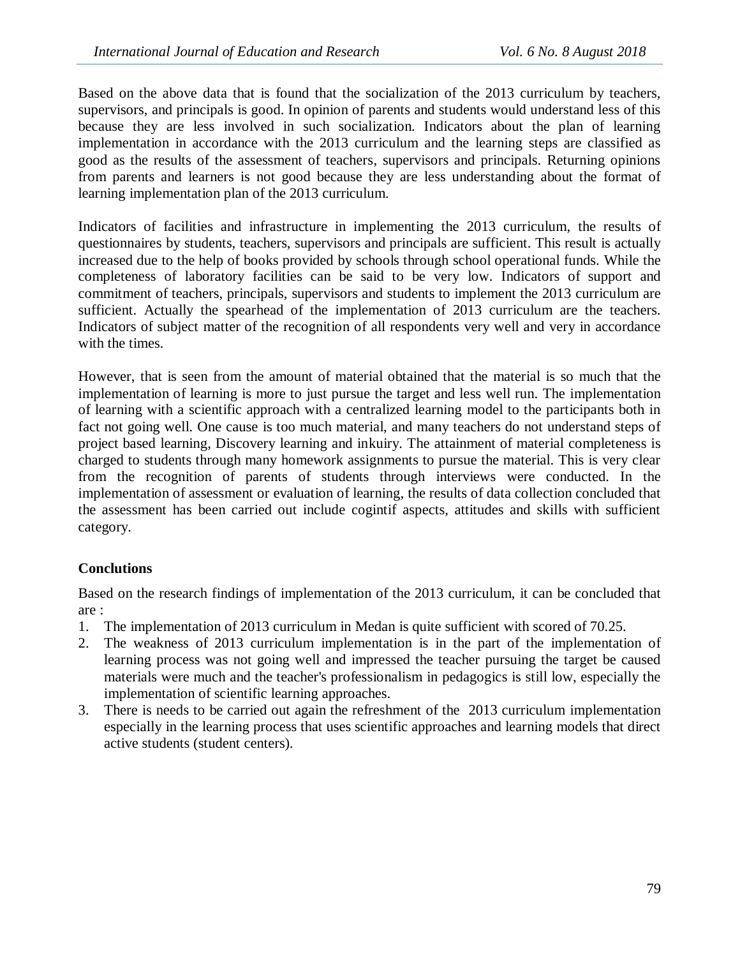Based on the above data that is found that the socialization of the 2013 curriculum by teachers, supervisors, and principals is good. In opinion of parents and students would understand less of this because they are less involved in such socialization. Indicators about the plan of learning implementation in accordance with the 2013 curriculum and the learning steps are classified as good as the results of the assessment of teachers, supervisors and principals. Returning opinions from parents and learners is not good because they are less understanding about the format of learning implementation plan of the 2013 curriculum.

Indicators of facilities and infrastructure in implementing the 2013 curriculum, the results of questionnaires by students, teachers, supervisors and principals are sufficient. This result is actually increased due to the help of books provided by schools through school operational funds. While the completeness of laboratory facilities can be said to be very low. Indicators of support and commitment of teachers, principals, supervisors and students to implement the 2013 curriculum are sufficient. Actually the spearhead of the implementation of 2013 curriculum are the teachers. Indicators of subject matter of the recognition of all respondents very well and very in accordance with the times.

However, that is seen from the amount of material obtained that the material is so much that the implementation of learning is more to just pursue the target and less well run. The implementation of learning with a scientific approach with a centralized learning model to the participants both in fact not going well. One cause is too much material, and many teachers do not understand steps of project based learning, Discovery learning and inkuiry. The attainment of material completeness is charged to students through many homework assignments to pursue the material. This is very clear from the recognition of parents of students through interviews were conducted. In the implementation of assessment or evaluation of learning, the results of data collection concluded that the assessment has been carried out include cogintif aspects, attitudes and skills with sufficient category.

# **Conclutions**

Based on the research findings of implementation of the 2013 curriculum, it can be concluded that are :

- 1. The implementation of 2013 curriculum in Medan is quite sufficient with scored of 70.25.
- 2. The weakness of 2013 curriculum implementation is in the part of the implementation of learning process was not going well and impressed the teacher pursuing the target be caused materials were much and the teacher's professionalism in pedagogics is still low, especially the implementation of scientific learning approaches.
- 3. There is needs to be carried out again the refreshment of the 2013 curriculum implementation especially in the learning process that uses scientific approaches and learning models that direct active students (student centers).